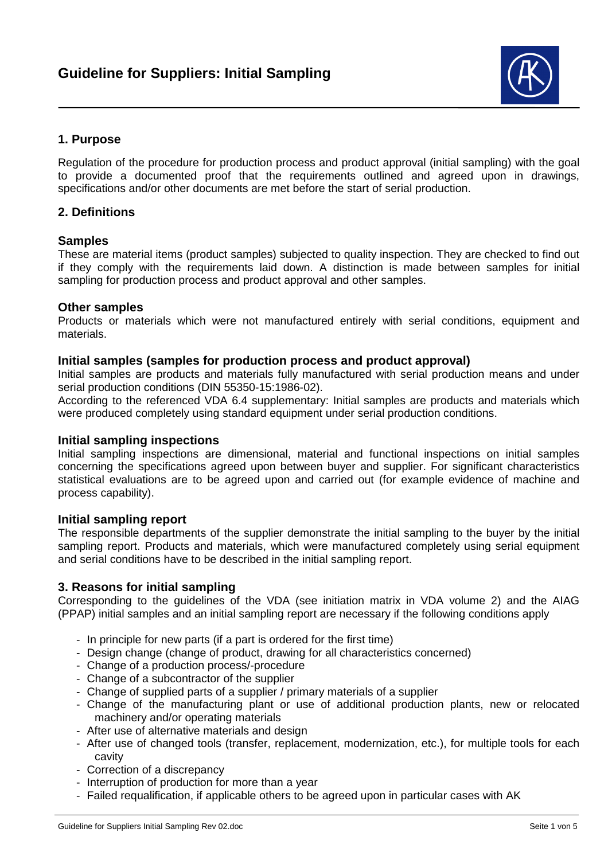

# **1. Purpose**

Regulation of the procedure for production process and product approval (initial sampling) with the goal to provide a documented proof that the requirements outlined and agreed upon in drawings, specifications and/or other documents are met before the start of serial production.

## **2. Definitions**

## **Samples**

These are material items (product samples) subjected to quality inspection. They are checked to find out if they comply with the requirements laid down. A distinction is made between samples for initial sampling for production process and product approval and other samples.

### **Other samples**

Products or materials which were not manufactured entirely with serial conditions, equipment and materials.

### **Initial samples (samples for production process and product approval)**

Initial samples are products and materials fully manufactured with serial production means and under serial production conditions (DIN 55350-15:1986-02).

According to the referenced VDA 6.4 supplementary: Initial samples are products and materials which were produced completely using standard equipment under serial production conditions.

#### **Initial sampling inspections**

Initial sampling inspections are dimensional, material and functional inspections on initial samples concerning the specifications agreed upon between buyer and supplier. For significant characteristics statistical evaluations are to be agreed upon and carried out (for example evidence of machine and process capability).

#### **Initial sampling report**

The responsible departments of the supplier demonstrate the initial sampling to the buyer by the initial sampling report. Products and materials, which were manufactured completely using serial equipment and serial conditions have to be described in the initial sampling report.

## **3. Reasons for initial sampling**

Corresponding to the guidelines of the VDA (see initiation matrix in VDA volume 2) and the AIAG (PPAP) initial samples and an initial sampling report are necessary if the following conditions apply

- In principle for new parts (if a part is ordered for the first time)
- Design change (change of product, drawing for all characteristics concerned)
- Change of a production process/-procedure
- Change of a subcontractor of the supplier
- Change of supplied parts of a supplier / primary materials of a supplier
- Change of the manufacturing plant or use of additional production plants, new or relocated machinery and/or operating materials
- After use of alternative materials and design
- After use of changed tools (transfer, replacement, modernization, etc.), for multiple tools for each cavity
- Correction of a discrepancy
- Interruption of production for more than a year
- Failed requalification, if applicable others to be agreed upon in particular cases with AK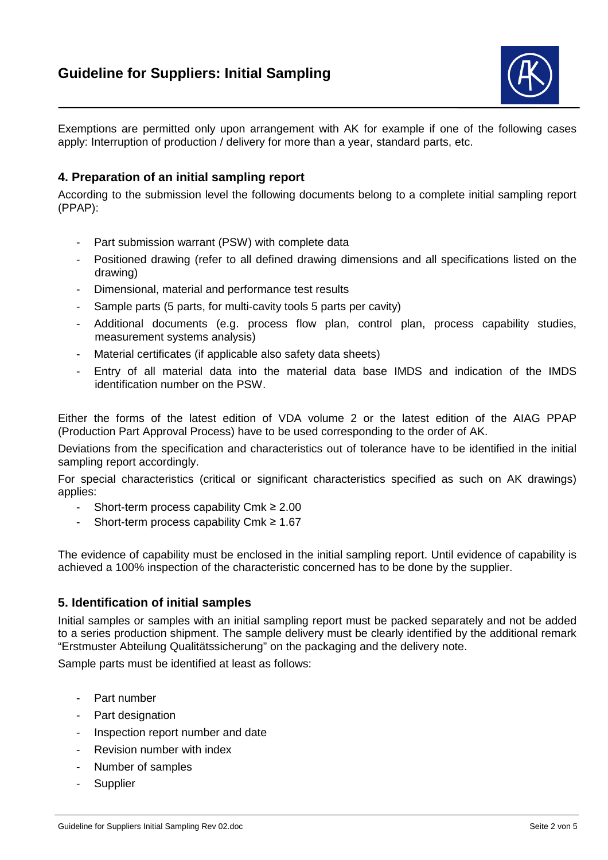

Exemptions are permitted only upon arrangement with AK for example if one of the following cases apply: Interruption of production / delivery for more than a year, standard parts, etc.

## **4. Preparation of an initial sampling report**

According to the submission level the following documents belong to a complete initial sampling report (PPAP):

- Part submission warrant (PSW) with complete data
- Positioned drawing (refer to all defined drawing dimensions and all specifications listed on the drawing)
- Dimensional, material and performance test results
- Sample parts (5 parts, for multi-cavity tools 5 parts per cavity)
- Additional documents (e.g. process flow plan, control plan, process capability studies, measurement systems analysis)
- Material certificates (if applicable also safety data sheets)
- Entry of all material data into the material data base IMDS and indication of the IMDS identification number on the PSW.

Either the forms of the latest edition of VDA volume 2 or the latest edition of the AIAG PPAP (Production Part Approval Process) have to be used corresponding to the order of AK.

Deviations from the specification and characteristics out of tolerance have to be identified in the initial sampling report accordingly.

For special characteristics (critical or significant characteristics specified as such on AK drawings) applies:

- Short-term process capability Cmk ≥ 2.00
- Short-term process capability Cmk ≥ 1.67

The evidence of capability must be enclosed in the initial sampling report. Until evidence of capability is achieved a 100% inspection of the characteristic concerned has to be done by the supplier.

### **5. Identification of initial samples**

Initial samples or samples with an initial sampling report must be packed separately and not be added to a series production shipment. The sample delivery must be clearly identified by the additional remark "Erstmuster Abteilung Qualitätssicherung" on the packaging and the delivery note.

Sample parts must be identified at least as follows:

- Part number
- Part designation
- Inspection report number and date
- Revision number with index
- Number of samples
- Supplier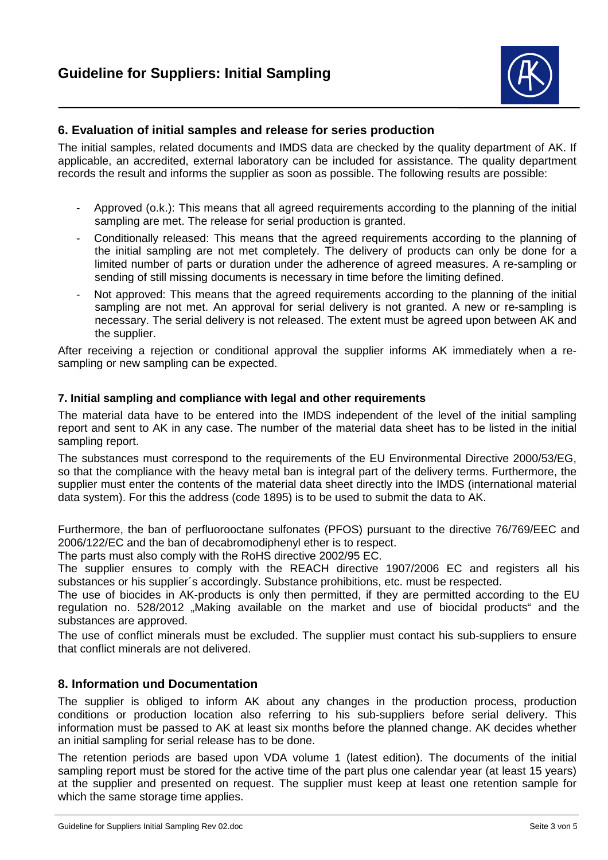

## **6. Evaluation of initial samples and release for series production**

The initial samples, related documents and IMDS data are checked by the quality department of AK. If applicable, an accredited, external laboratory can be included for assistance. The quality department records the result and informs the supplier as soon as possible. The following results are possible:

- Approved (o.k.): This means that all agreed requirements according to the planning of the initial sampling are met. The release for serial production is granted.
- Conditionally released: This means that the agreed requirements according to the planning of the initial sampling are not met completely. The delivery of products can only be done for a limited number of parts or duration under the adherence of agreed measures. A re-sampling or sending of still missing documents is necessary in time before the limiting defined.
- Not approved: This means that the agreed requirements according to the planning of the initial sampling are not met. An approval for serial delivery is not granted. A new or re-sampling is necessary. The serial delivery is not released. The extent must be agreed upon between AK and the supplier.

After receiving a rejection or conditional approval the supplier informs AK immediately when a resampling or new sampling can be expected.

## **7. Initial sampling and compliance with legal and other requirements**

The material data have to be entered into the IMDS independent of the level of the initial sampling report and sent to AK in any case. The number of the material data sheet has to be listed in the initial sampling report.

The substances must correspond to the requirements of the EU Environmental Directive 2000/53/EG, so that the compliance with the heavy metal ban is integral part of the delivery terms. Furthermore, the supplier must enter the contents of the material data sheet directly into the IMDS (international material data system). For this the address (code 1895) is to be used to submit the data to AK.

Furthermore, the ban of perfluorooctane sulfonates (PFOS) pursuant to the directive 76/769/EEC and 2006/122/EC and the ban of decabromodiphenyl ether is to respect.

The parts must also comply with the RoHS directive 2002/95 EC.

The supplier ensures to comply with the REACH directive 1907/2006 EC and registers all his substances or his supplier´s accordingly. Substance prohibitions, etc. must be respected.

The use of biocides in AK-products is only then permitted, if they are permitted according to the EU regulation no. 528/2012 "Making available on the market and use of biocidal products" and the substances are approved.

The use of conflict minerals must be excluded. The supplier must contact his sub-suppliers to ensure that conflict minerals are not delivered.

## **8. Information und Documentation**

The supplier is obliged to inform AK about any changes in the production process, production conditions or production location also referring to his sub-suppliers before serial delivery. This information must be passed to AK at least six months before the planned change. AK decides whether an initial sampling for serial release has to be done.

The retention periods are based upon VDA volume 1 (latest edition). The documents of the initial sampling report must be stored for the active time of the part plus one calendar year (at least 15 years) at the supplier and presented on request. The supplier must keep at least one retention sample for which the same storage time applies.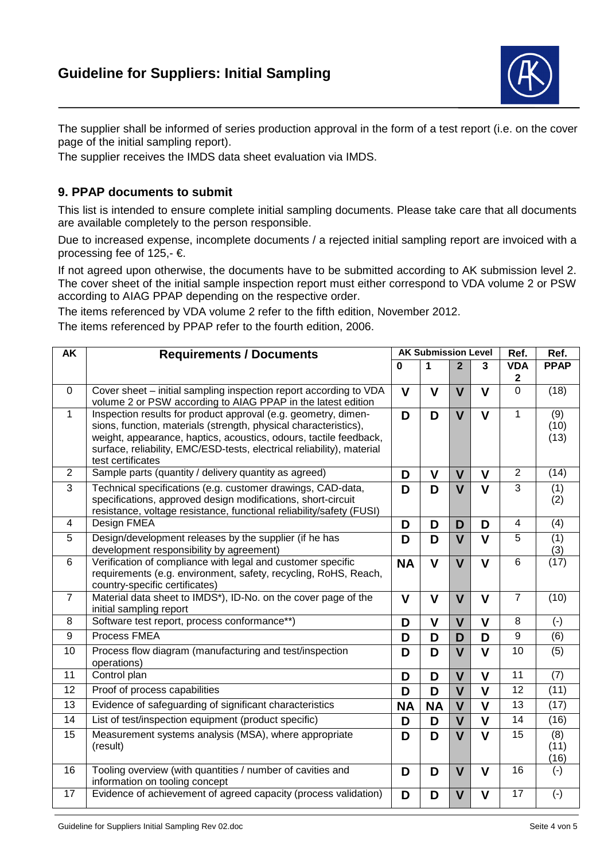

The supplier shall be informed of series production approval in the form of a test report (i.e. on the cover page of the initial sampling report).

The supplier receives the IMDS data sheet evaluation via IMDS.

# **9. PPAP documents to submit**

This list is intended to ensure complete initial sampling documents. Please take care that all documents are available completely to the person responsible.

Due to increased expense, incomplete documents / a rejected initial sampling report are invoiced with a processing fee of 125,- €.

If not agreed upon otherwise, the documents have to be submitted according to AK submission level 2. The cover sheet of the initial sample inspection report must either correspond to VDA volume 2 or PSW according to AIAG PPAP depending on the respective order.

The items referenced by VDA volume 2 refer to the fifth edition, November 2012.

The items referenced by PPAP refer to the fourth edition, 2006.

| AK              | <b>Requirements / Documents</b>                                                                                                                                                                                                                                                                        | <b>AK Submission Level</b> |                         |                |                         | Ref.                           | Ref.                             |
|-----------------|--------------------------------------------------------------------------------------------------------------------------------------------------------------------------------------------------------------------------------------------------------------------------------------------------------|----------------------------|-------------------------|----------------|-------------------------|--------------------------------|----------------------------------|
|                 |                                                                                                                                                                                                                                                                                                        | 0                          | 1                       | $\overline{2}$ | 3                       | <b>VDA</b><br>$\boldsymbol{2}$ | <b>PPAP</b>                      |
| $\mathbf 0$     | Cover sheet - initial sampling inspection report according to VDA<br>volume 2 or PSW according to AIAG PPAP in the latest edition                                                                                                                                                                      | $\mathbf{V}$               | $\mathbf v$             | $\mathbf V$    | $\mathbf v$             | $\mathbf 0$                    | (18)                             |
| $\mathbf{1}$    | Inspection results for product approval (e.g. geometry, dimen-<br>sions, function, materials (strength, physical characteristics),<br>weight, appearance, haptics, acoustics, odours, tactile feedback,<br>surface, reliability, EMC/ESD-tests, electrical reliability), material<br>test certificates | D                          | D                       | $\mathbf V$    | $\mathbf v$             | $\mathbf{1}$                   | (9)<br>(10)<br>(13)              |
| 2               | Sample parts (quantity / delivery quantity as agreed)                                                                                                                                                                                                                                                  | D                          | $\mathbf v$             | $\mathbf V$    | $\mathbf v$             | 2                              | (14)                             |
| $\overline{3}$  | Technical specifications (e.g. customer drawings, CAD-data,<br>specifications, approved design modifications, short-circuit<br>resistance, voltage resistance, functional reliability/safety (FUSI)                                                                                                    | D                          | D                       | $\mathbf v$    | $\mathbf v$             | $\overline{3}$                 | (1)<br>(2)                       |
| $\overline{4}$  | Design FMEA                                                                                                                                                                                                                                                                                            | D                          | D                       | D              | D                       | $\overline{4}$                 | (4)                              |
| 5               | Design/development releases by the supplier (if he has<br>development responsibility by agreement)                                                                                                                                                                                                     | D                          | D                       | $\mathbf v$    | $\mathbf v$             | 5                              | $\overline{(1)}$<br>(3)          |
| 6               | Verification of compliance with legal and customer specific<br>requirements (e.g. environment, safety, recycling, RoHS, Reach,<br>country-specific certificates)                                                                                                                                       | <b>NA</b>                  | $\mathbf V$             | $\mathbf v$    | $\mathbf v$             | $\overline{6}$                 | $\overline{(17)}$                |
| $\overline{7}$  | Material data sheet to IMDS*), ID-No. on the cover page of the<br>initial sampling report                                                                                                                                                                                                              | $\mathbf{V}$               | $\mathbf{V}$            | $\mathbf{V}$   | $\mathbf v$             | $\overline{7}$                 | (10)                             |
| 8               | Software test report, process conformance**)                                                                                                                                                                                                                                                           | D                          | $\overline{\mathsf{V}}$ | $\mathsf{V}$   | $\mathbf{V}$            | 8                              | $(-)$                            |
| 9               | Process FMEA                                                                                                                                                                                                                                                                                           | D                          | D                       | D              | D                       | 9                              | (6)                              |
| 10              | Process flow diagram (manufacturing and test/inspection<br>operations)                                                                                                                                                                                                                                 | D                          | D                       | $\mathbf{V}$   | $\mathbf{V}$            | 10                             | (5)                              |
| 11              | Control plan                                                                                                                                                                                                                                                                                           | D                          | D                       | $\mathbf V$    | $\mathbf V$             | 11                             | (7)                              |
| 12              | Proof of process capabilities                                                                                                                                                                                                                                                                          | D                          | D                       | $\mathsf{V}$   | $\mathbf{V}$            | 12                             | (11)                             |
| 13              | Evidence of safeguarding of significant characteristics                                                                                                                                                                                                                                                | <b>NA</b>                  | <b>NA</b>               | $\mathbf V$    | $\mathbf V$             | 13                             | (17)                             |
| $\overline{14}$ | List of test/inspection equipment (product specific)                                                                                                                                                                                                                                                   | D                          | D                       | $\mathbf{V}$   | $\overline{\mathsf{V}}$ | $\overline{14}$                | (16)                             |
| 15              | Measurement systems analysis (MSA), where appropriate<br>(result)                                                                                                                                                                                                                                      | D                          | D                       | $\mathbf{V}$   | $\mathbf{V}$            | 15                             | $\overline{(8)}$<br>(11)<br>(16) |
| 16              | Tooling overview (with quantities / number of cavities and<br>information on tooling concept                                                                                                                                                                                                           | D                          | D                       | $\mathbf v$    | $\mathbf v$             | 16                             | $(-)$                            |
| 17              | Evidence of achievement of agreed capacity (process validation)                                                                                                                                                                                                                                        | D                          | D                       | $\mathbf v$    | $\mathbf v$             | 17                             | $(-)$                            |